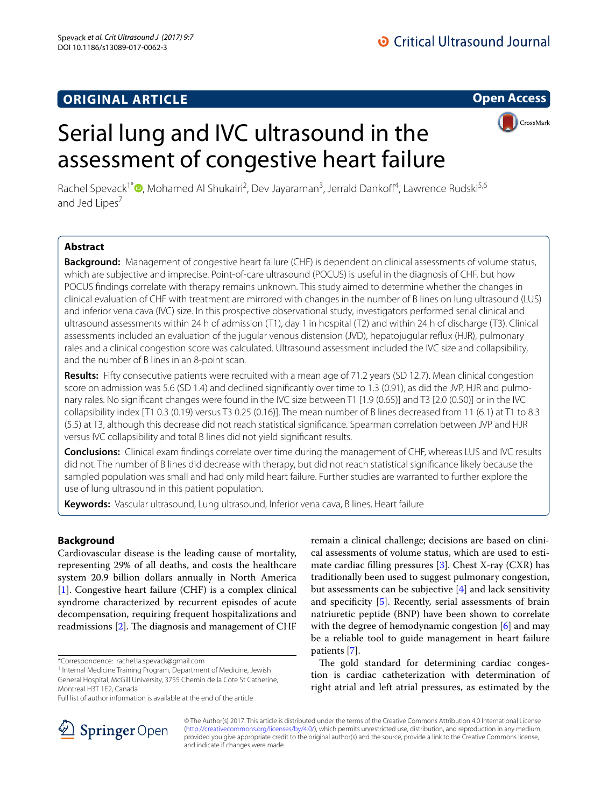## **ORIGINAL ARTICLE**

**Open Access**



# Serial lung and IVC ultrasound in the assessment of congestive heart failure

Rachel Spevack<sup>1\*</sup><sup>®</sup>[,](http://orcid.org/0000-0003-2651-9946) Mohamed Al Shukairi<sup>2</sup>, Dev Jayaraman<sup>3</sup>, Jerrald Dankoff<sup>4</sup>, Lawrence Rudski<sup>5,6</sup> and Jed Lipes $^7$ 

## **Abstract**

**Background:** Management of congestive heart failure (CHF) is dependent on clinical assessments of volume status, which are subjective and imprecise. Point-of-care ultrasound (POCUS) is useful in the diagnosis of CHF, but how POCUS findings correlate with therapy remains unknown. This study aimed to determine whether the changes in clinical evaluation of CHF with treatment are mirrored with changes in the number of B lines on lung ultrasound (LUS) and inferior vena cava (IVC) size. In this prospective observational study, investigators performed serial clinical and ultrasound assessments within 24 h of admission (T1), day 1 in hospital (T2) and within 24 h of discharge (T3). Clinical assessments included an evaluation of the jugular venous distension (JVD), hepatojugular reflux (HJR), pulmonary rales and a clinical congestion score was calculated. Ultrasound assessment included the IVC size and collapsibility, and the number of B lines in an 8-point scan.

**Results:** Fifty consecutive patients were recruited with a mean age of 71.2 years (SD 12.7). Mean clinical congestion score on admission was 5.6 (SD 1.4) and declined significantly over time to 1.3 (0.91), as did the JVP, HJR and pulmonary rales. No significant changes were found in the IVC size between T1 [1.9 (0.65)] and T3 [2.0 (0.50)] or in the IVC collapsibility index [T1 0.3 (0.19) versus T3 0.25 (0.16)]. The mean number of B lines decreased from 11 (6.1) at T1 to 8.3 (5.5) at T3, although this decrease did not reach statistical significance. Spearman correlation between JVP and HJR versus IVC collapsibility and total B lines did not yield significant results.

**Conclusions:** Clinical exam findings correlate over time during the management of CHF, whereas LUS and IVC results did not. The number of B lines did decrease with therapy, but did not reach statistical significance likely because the sampled population was small and had only mild heart failure. Further studies are warranted to further explore the use of lung ultrasound in this patient population.

**Keywords:** Vascular ultrasound, Lung ultrasound, Inferior vena cava, B lines, Heart failure

## **Background**

Cardiovascular disease is the leading cause of mortality, representing 29% of all deaths, and costs the healthcare system 20.9 billion dollars annually in North America [[1\]](#page-5-0). Congestive heart failure (CHF) is a complex clinical syndrome characterized by recurrent episodes of acute decompensation, requiring frequent hospitalizations and readmissions [[2\]](#page-5-1). The diagnosis and management of CHF



The gold standard for determining cardiac congestion is cardiac catheterization with determination of right atrial and left atrial pressures, as estimated by the



© The Author(s) 2017. This article is distributed under the terms of the Creative Commons Attribution 4.0 International License [\(http://creativecommons.org/licenses/by/4.0/\)](http://creativecommons.org/licenses/by/4.0/), which permits unrestricted use, distribution, and reproduction in any medium, provided you give appropriate credit to the original author(s) and the source, provide a link to the Creative Commons license, and indicate if changes were made.

<sup>\*</sup>Correspondence: rachel.la.spevack@gmail.com

<sup>&</sup>lt;sup>1</sup> Internal Medicine Training Program, Department of Medicine, Jewish General Hospital, McGill University, 3755 Chemin de la Cote St Catherine, Montreal H3T 1E2, Canada

Full list of author information is available at the end of the article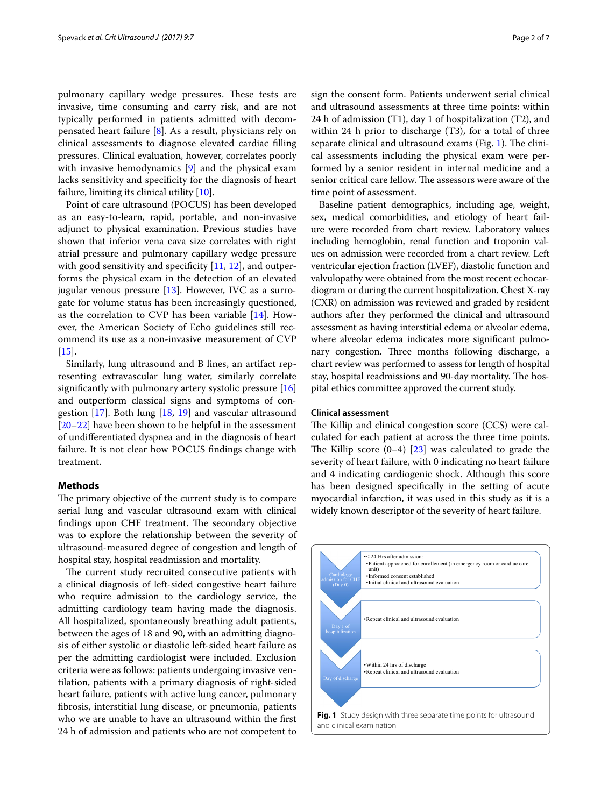pulmonary capillary wedge pressures. These tests are invasive, time consuming and carry risk, and are not typically performed in patients admitted with decompensated heart failure [\[8](#page-5-7)]. As a result, physicians rely on clinical assessments to diagnose elevated cardiac filling pressures. Clinical evaluation, however, correlates poorly with invasive hemodynamics [\[9](#page-6-0)] and the physical exam lacks sensitivity and specificity for the diagnosis of heart failure, limiting its clinical utility [[10\]](#page-6-1).

Point of care ultrasound (POCUS) has been developed as an easy-to-learn, rapid, portable, and non-invasive adjunct to physical examination. Previous studies have shown that inferior vena cava size correlates with right atrial pressure and pulmonary capillary wedge pressure with good sensitivity and specificity [\[11](#page-6-2), [12](#page-6-3)], and outperforms the physical exam in the detection of an elevated jugular venous pressure [\[13\]](#page-6-4). However, IVC as a surrogate for volume status has been increasingly questioned, as the correlation to CVP has been variable [\[14](#page-6-5)]. However, the American Society of Echo guidelines still recommend its use as a non-invasive measurement of CVP  $[15]$  $[15]$ .

Similarly, lung ultrasound and B lines, an artifact representing extravascular lung water, similarly correlate significantly with pulmonary artery systolic pressure [[16](#page-6-7)] and outperform classical signs and symptoms of congestion [[17\]](#page-6-8). Both lung [[18,](#page-6-9) [19](#page-6-10)] and vascular ultrasound [[20–](#page-6-11)[22](#page-6-12)] have been shown to be helpful in the assessment of undifferentiated dyspnea and in the diagnosis of heart failure. It is not clear how POCUS findings change with treatment.

## **Methods**

The primary objective of the current study is to compare serial lung and vascular ultrasound exam with clinical findings upon CHF treatment. The secondary objective was to explore the relationship between the severity of ultrasound-measured degree of congestion and length of hospital stay, hospital readmission and mortality.

The current study recruited consecutive patients with a clinical diagnosis of left-sided congestive heart failure who require admission to the cardiology service, the admitting cardiology team having made the diagnosis. All hospitalized, spontaneously breathing adult patients, between the ages of 18 and 90, with an admitting diagnosis of either systolic or diastolic left-sided heart failure as per the admitting cardiologist were included. Exclusion criteria were as follows: patients undergoing invasive ventilation, patients with a primary diagnosis of right-sided heart failure, patients with active lung cancer, pulmonary fibrosis, interstitial lung disease, or pneumonia, patients who we are unable to have an ultrasound within the first 24 h of admission and patients who are not competent to sign the consent form. Patients underwent serial clinical and ultrasound assessments at three time points: within 24 h of admission (T1), day 1 of hospitalization (T2), and within 24 h prior to discharge (T3), for a total of three separate clinical and ultrasound exams (Fig. [1](#page-1-0)). The clinical assessments including the physical exam were performed by a senior resident in internal medicine and a senior critical care fellow. The assessors were aware of the time point of assessment.

Baseline patient demographics, including age, weight, sex, medical comorbidities, and etiology of heart failure were recorded from chart review. Laboratory values including hemoglobin, renal function and troponin values on admission were recorded from a chart review. Left ventricular ejection fraction (LVEF), diastolic function and valvulopathy were obtained from the most recent echocardiogram or during the current hospitalization. Chest X-ray (CXR) on admission was reviewed and graded by resident authors after they performed the clinical and ultrasound assessment as having interstitial edema or alveolar edema, where alveolar edema indicates more significant pulmonary congestion. Three months following discharge, a chart review was performed to assess for length of hospital stay, hospital readmissions and 90-day mortality. The hospital ethics committee approved the current study.

### **Clinical assessment**

The Killip and clinical congestion score (CCS) were calculated for each patient at across the three time points. The Killip score  $(0-4)$   $[23]$  $[23]$  was calculated to grade the severity of heart failure, with 0 indicating no heart failure and 4 indicating cardiogenic shock. Although this score has been designed specifically in the setting of acute myocardial infarction, it was used in this study as it is a widely known descriptor of the severity of heart failure.

<span id="page-1-0"></span>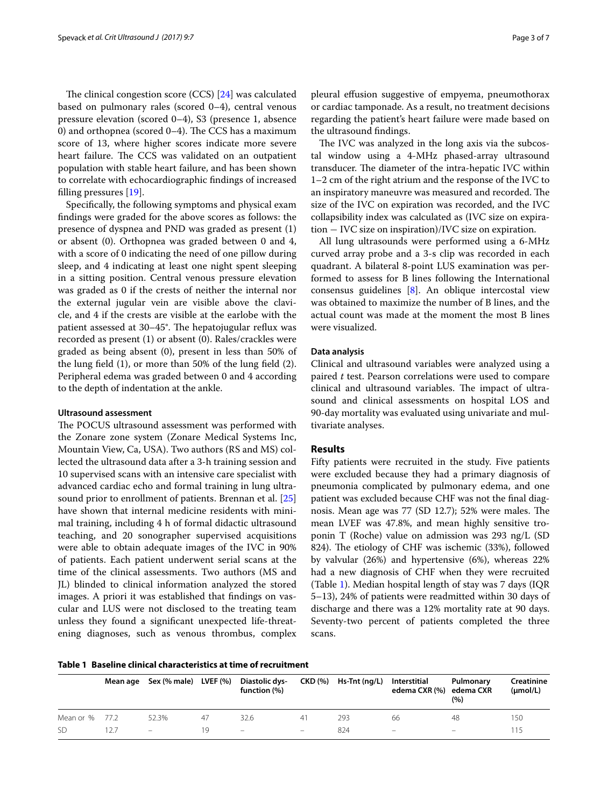The clinical congestion score (CCS) [[24\]](#page-6-14) was calculated based on pulmonary rales (scored 0–4), central venous pressure elevation (scored 0–4), S3 (presence 1, absence 0) and orthopnea (scored 0–4). The CCS has a maximum score of 13, where higher scores indicate more severe heart failure. The CCS was validated on an outpatient population with stable heart failure, and has been shown to correlate with echocardiographic findings of increased filling pressures [\[19](#page-6-10)].

Specifically, the following symptoms and physical exam findings were graded for the above scores as follows: the presence of dyspnea and PND was graded as present (1) or absent (0). Orthopnea was graded between 0 and 4, with a score of 0 indicating the need of one pillow during sleep, and 4 indicating at least one night spent sleeping in a sitting position. Central venous pressure elevation was graded as 0 if the crests of neither the internal nor the external jugular vein are visible above the clavicle, and 4 if the crests are visible at the earlobe with the patient assessed at 30–45°. The hepatojugular reflux was recorded as present (1) or absent (0). Rales/crackles were graded as being absent (0), present in less than 50% of the lung field (1), or more than 50% of the lung field (2). Peripheral edema was graded between 0 and 4 according to the depth of indentation at the ankle.

## **Ultrasound assessment**

The POCUS ultrasound assessment was performed with the Zonare zone system (Zonare Medical Systems Inc, Mountain View, Ca, USA). Two authors (RS and MS) collected the ultrasound data after a 3-h training session and 10 supervised scans with an intensive care specialist with advanced cardiac echo and formal training in lung ultrasound prior to enrollment of patients. Brennan et al. [[25](#page-6-15)] have shown that internal medicine residents with minimal training, including 4 h of formal didactic ultrasound teaching, and 20 sonographer supervised acquisitions were able to obtain adequate images of the IVC in 90% of patients. Each patient underwent serial scans at the time of the clinical assessments. Two authors (MS and JL) blinded to clinical information analyzed the stored images. A priori it was established that findings on vascular and LUS were not disclosed to the treating team unless they found a significant unexpected life-threatening diagnoses, such as venous thrombus, complex pleural effusion suggestive of empyema, pneumothorax or cardiac tamponade. As a result, no treatment decisions regarding the patient's heart failure were made based on the ultrasound findings.

The IVC was analyzed in the long axis via the subcostal window using a 4-MHz phased-array ultrasound transducer. The diameter of the intra-hepatic IVC within 1–2 cm of the right atrium and the response of the IVC to an inspiratory maneuvre was measured and recorded. The size of the IVC on expiration was recorded, and the IVC collapsibility index was calculated as (IVC size on expiration − IVC size on inspiration)/IVC size on expiration.

All lung ultrasounds were performed using a 6-MHz curved array probe and a 3-s clip was recorded in each quadrant. A bilateral 8-point LUS examination was performed to assess for B lines following the International consensus guidelines [[8\]](#page-5-7). An oblique intercostal view was obtained to maximize the number of B lines, and the actual count was made at the moment the most B lines were visualized.

## **Data analysis**

Clinical and ultrasound variables were analyzed using a paired *t* test. Pearson correlations were used to compare clinical and ultrasound variables. The impact of ultrasound and clinical assessments on hospital LOS and 90-day mortality was evaluated using univariate and multivariate analyses.

## **Results**

Fifty patients were recruited in the study. Five patients were excluded because they had a primary diagnosis of pneumonia complicated by pulmonary edema, and one patient was excluded because CHF was not the final diagnosis. Mean age was 77 (SD 12.7); 52% were males. The mean LVEF was 47.8%, and mean highly sensitive troponin T (Roche) value on admission was 293 ng/L (SD 824). The etiology of CHF was ischemic (33%), followed by valvular (26%) and hypertensive (6%), whereas 22% had a new diagnosis of CHF when they were recruited (Table [1\)](#page-2-0). Median hospital length of stay was 7 days (IQR 5–13), 24% of patients were readmitted within 30 days of discharge and there was a 12% mortality rate at 90 days. Seventy-two percent of patients completed the three scans.

## <span id="page-2-0"></span>**Table 1 Baseline clinical characteristics at time of recruitment**

|           | Mean age | Sex (% male)             | LVEF (%) | <b>Diastolic dys-</b><br>function (%) |                   | $CKD$ (%) $Hs$ -Tnt (ng/L) | Interstitial<br>edema CXR (%) edema CXR | Pulmonary<br>(%)         | Creatinine<br>$(\mu mol/L)$ |
|-----------|----------|--------------------------|----------|---------------------------------------|-------------------|----------------------------|-----------------------------------------|--------------------------|-----------------------------|
| Mean or % | 77.2     | 52.3%                    | 47       | 32.6                                  | 41                | 293                        | 66                                      | 48                       | 150                         |
| SD        | 2.7      | $\overline{\phantom{m}}$ | 19       | $\overline{\phantom{m}}$              | $\qquad \qquad -$ | 824                        | $\qquad \qquad \longleftarrow$          | $\overline{\phantom{m}}$ | 115                         |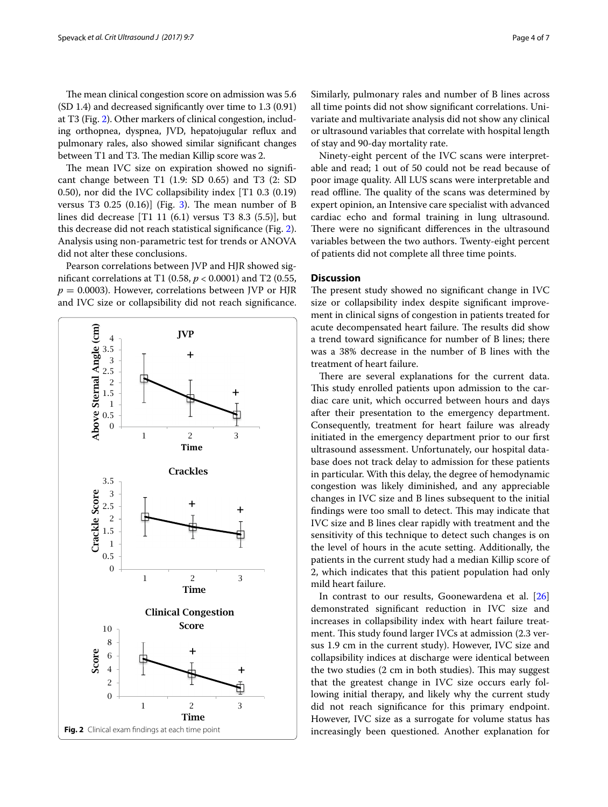The mean clinical congestion score on admission was 5.6 (SD 1.4) and decreased significantly over time to 1.3 (0.91) at T3 (Fig. [2\)](#page-3-0). Other markers of clinical congestion, including orthopnea, dyspnea, JVD, hepatojugular reflux and pulmonary rales, also showed similar significant changes between T1 and T3. The median Killip score was 2.

The mean IVC size on expiration showed no significant change between T1 (1.9: SD 0.65) and T3 (2: SD 0.50), nor did the IVC collapsibility index [T1 0.3 (0.19) versus T3 0.25  $(0.16)$ ] (Fig. [3\)](#page-4-0). The mean number of B lines did decrease [T1 11 (6.1) versus T3 8.3 (5.5)], but this decrease did not reach statistical significance (Fig. [2](#page-3-0)). Analysis using non-parametric test for trends or ANOVA did not alter these conclusions.

Pearson correlations between JVP and HJR showed significant correlations at T1 (0.58, *p* < 0.0001) and T2 (0.55,  $p = 0.0003$ ). However, correlations between JVP or HJR and IVC size or collapsibility did not reach significance.



Similarly, pulmonary rales and number of B lines across all time points did not show significant correlations. Univariate and multivariate analysis did not show any clinical or ultrasound variables that correlate with hospital length of stay and 90-day mortality rate.

Ninety-eight percent of the IVC scans were interpretable and read; 1 out of 50 could not be read because of poor image quality. All LUS scans were interpretable and read offline. The quality of the scans was determined by expert opinion, an Intensive care specialist with advanced cardiac echo and formal training in lung ultrasound. There were no significant differences in the ultrasound variables between the two authors. Twenty-eight percent of patients did not complete all three time points.

## **Discussion**

The present study showed no significant change in IVC size or collapsibility index despite significant improvement in clinical signs of congestion in patients treated for acute decompensated heart failure. The results did show a trend toward significance for number of B lines; there was a 38% decrease in the number of B lines with the treatment of heart failure.

There are several explanations for the current data. This study enrolled patients upon admission to the cardiac care unit, which occurred between hours and days after their presentation to the emergency department. Consequently, treatment for heart failure was already initiated in the emergency department prior to our first ultrasound assessment. Unfortunately, our hospital database does not track delay to admission for these patients in particular. With this delay, the degree of hemodynamic congestion was likely diminished, and any appreciable changes in IVC size and B lines subsequent to the initial findings were too small to detect. This may indicate that IVC size and B lines clear rapidly with treatment and the sensitivity of this technique to detect such changes is on the level of hours in the acute setting. Additionally, the patients in the current study had a median Killip score of 2, which indicates that this patient population had only mild heart failure.

<span id="page-3-0"></span>In contrast to our results, Goonewardena et al. [[26](#page-6-16)] demonstrated significant reduction in IVC size and increases in collapsibility index with heart failure treatment. This study found larger IVCs at admission (2.3 versus 1.9 cm in the current study). However, IVC size and collapsibility indices at discharge were identical between the two studies (2 cm in both studies). This may suggest that the greatest change in IVC size occurs early following initial therapy, and likely why the current study did not reach significance for this primary endpoint. However, IVC size as a surrogate for volume status has increasingly been questioned. Another explanation for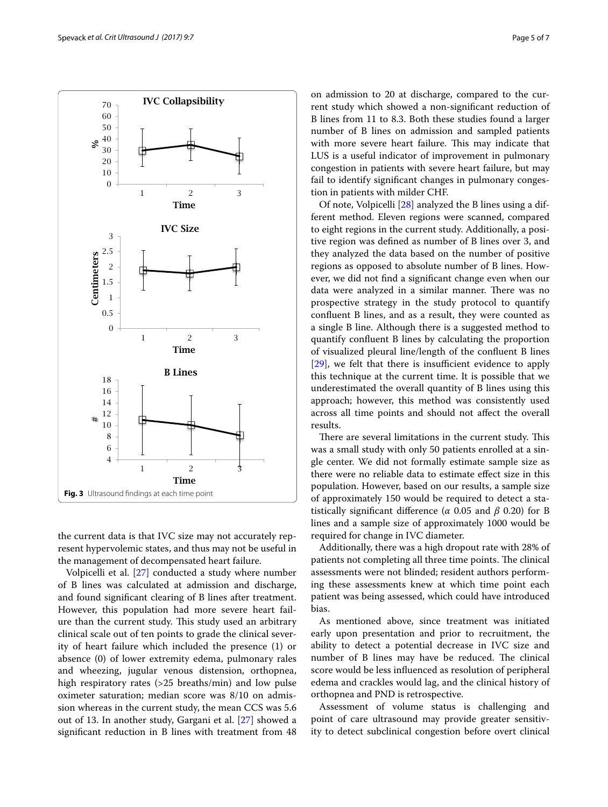

<span id="page-4-0"></span>the current data is that IVC size may not accurately represent hypervolemic states, and thus may not be useful in the management of decompensated heart failure.

Volpicelli et al. [\[27](#page-6-17)] conducted a study where number of B lines was calculated at admission and discharge, and found significant clearing of B lines after treatment. However, this population had more severe heart failure than the current study. This study used an arbitrary clinical scale out of ten points to grade the clinical severity of heart failure which included the presence (1) or absence (0) of lower extremity edema, pulmonary rales and wheezing, jugular venous distension, orthopnea, high respiratory rates (>25 breaths/min) and low pulse oximeter saturation; median score was 8/10 on admission whereas in the current study, the mean CCS was 5.6 out of 13. In another study, Gargani et al. [[27\]](#page-6-17) showed a significant reduction in B lines with treatment from 48 on admission to 20 at discharge, compared to the current study which showed a non-significant reduction of B lines from 11 to 8.3. Both these studies found a larger number of B lines on admission and sampled patients with more severe heart failure. This may indicate that LUS is a useful indicator of improvement in pulmonary congestion in patients with severe heart failure, but may fail to identify significant changes in pulmonary congestion in patients with milder CHF.

Of note, Volpicelli [[28\]](#page-6-18) analyzed the B lines using a different method. Eleven regions were scanned, compared to eight regions in the current study. Additionally, a positive region was defined as number of B lines over 3, and they analyzed the data based on the number of positive regions as opposed to absolute number of B lines. However, we did not find a significant change even when our data were analyzed in a similar manner. There was no prospective strategy in the study protocol to quantify confluent B lines, and as a result, they were counted as a single B line. Although there is a suggested method to quantify confluent B lines by calculating the proportion of visualized pleural line/length of the confluent B lines [[29\]](#page-6-19), we felt that there is insufficient evidence to apply this technique at the current time. It is possible that we underestimated the overall quantity of B lines using this approach; however, this method was consistently used across all time points and should not affect the overall results.

There are several limitations in the current study. This was a small study with only 50 patients enrolled at a single center. We did not formally estimate sample size as there were no reliable data to estimate effect size in this population. However, based on our results, a sample size of approximately 150 would be required to detect a statistically significant difference (*α* 0.05 and *β* 0.20) for B lines and a sample size of approximately 1000 would be required for change in IVC diameter.

Additionally, there was a high dropout rate with 28% of patients not completing all three time points. The clinical assessments were not blinded; resident authors performing these assessments knew at which time point each patient was being assessed, which could have introduced bias.

As mentioned above, since treatment was initiated early upon presentation and prior to recruitment, the ability to detect a potential decrease in IVC size and number of B lines may have be reduced. The clinical score would be less influenced as resolution of peripheral edema and crackles would lag, and the clinical history of orthopnea and PND is retrospective.

Assessment of volume status is challenging and point of care ultrasound may provide greater sensitivity to detect subclinical congestion before overt clinical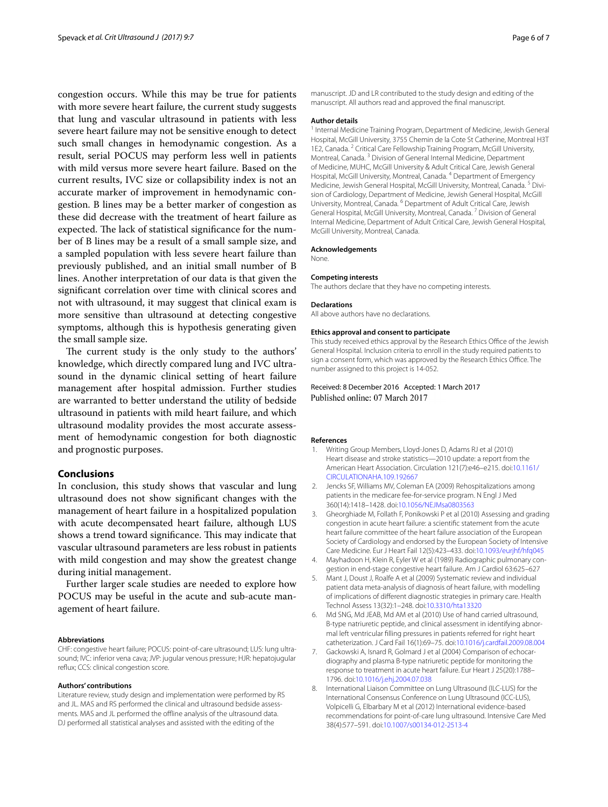congestion occurs. While this may be true for patients with more severe heart failure, the current study suggests that lung and vascular ultrasound in patients with less severe heart failure may not be sensitive enough to detect such small changes in hemodynamic congestion. As a result, serial POCUS may perform less well in patients with mild versus more severe heart failure. Based on the current results, IVC size or collapsibility index is not an accurate marker of improvement in hemodynamic congestion. B lines may be a better marker of congestion as these did decrease with the treatment of heart failure as expected. The lack of statistical significance for the number of B lines may be a result of a small sample size, and a sampled population with less severe heart failure than previously published, and an initial small number of B lines. Another interpretation of our data is that given the significant correlation over time with clinical scores and not with ultrasound, it may suggest that clinical exam is more sensitive than ultrasound at detecting congestive symptoms, although this is hypothesis generating given the small sample size.

The current study is the only study to the authors' knowledge, which directly compared lung and IVC ultrasound in the dynamic clinical setting of heart failure management after hospital admission. Further studies are warranted to better understand the utility of bedside ultrasound in patients with mild heart failure, and which ultrasound modality provides the most accurate assessment of hemodynamic congestion for both diagnostic and prognostic purposes.

## **Conclusions**

In conclusion, this study shows that vascular and lung ultrasound does not show significant changes with the management of heart failure in a hospitalized population with acute decompensated heart failure, although LUS shows a trend toward significance. This may indicate that vascular ultrasound parameters are less robust in patients with mild congestion and may show the greatest change during initial management.

Further larger scale studies are needed to explore how POCUS may be useful in the acute and sub-acute management of heart failure.

#### **Abbreviations**

CHF: congestive heart failure; POCUS: point-of-care ultrasound; LUS: lung ultrasound; IVC: inferior vena cava; JVP: jugular venous pressure; HJR: hepatojugular reflux; CCS: clinical congestion score.

#### **Authors' contributions**

Literature review, study design and implementation were performed by RS and JL. MAS and RS performed the clinical and ultrasound bedside assessments. MAS and JL performed the offline analysis of the ultrasound data. DJ performed all statistical analyses and assisted with the editing of the

manuscript. JD and LR contributed to the study design and editing of the manuscript. All authors read and approved the final manuscript.

#### **Author details**

<sup>1</sup> Internal Medicine Training Program, Department of Medicine, Jewish General Hospital, McGill University, 3755 Chemin de la Cote St Catherine, Montreal H3T 1E2, Canada. <sup>2</sup> Critical Care Fellowship Training Program, McGill University, Montreal, Canada. 3 Division of General Internal Medicine, Department of Medicine, MUHC, McGill University & Adult Critical Care, Jewish General Hospital, McGill University, Montreal, Canada. 4 Department of Emergency Medicine, Jewish General Hospital, McGill University, Montreal, Canada. 5 Division of Cardiology, Department of Medicine, Jewish General Hospital, McGill University, Montreal, Canada. 6 Department of Adult Critical Care, Jewish General Hospital, McGill University, Montreal, Canada. 7 Division of General Internal Medicine, Department of Adult Critical Care, Jewish General Hospital, McGill University, Montreal, Canada.

#### **Acknowledgements**

None.

#### **Competing interests**

The authors declare that they have no competing interests.

#### **Declarations**

All above authors have no declarations.

#### **Ethics approval and consent to participate**

This study received ethics approval by the Research Ethics Office of the Jewish General Hospital. Inclusion criteria to enroll in the study required patients to sign a consent form, which was approved by the Research Ethics Office. The number assigned to this project is 14-052.

#### Received: 8 December 2016 Accepted: 1 March 2017 Published online: 07 March 2017

#### **References**

- <span id="page-5-0"></span>1. Writing Group Members, Lloyd-Jones D, Adams RJ et al (2010) Heart disease and stroke statistics—2010 update: a report from the American Heart Association. Circulation 121(7):e46–e215. doi[:10.1161/](http://dx.doi.org/10.1161/CIRCULATIONAHA.109.192667) [CIRCULATIONAHA.109.192667](http://dx.doi.org/10.1161/CIRCULATIONAHA.109.192667)
- <span id="page-5-1"></span>2. Jencks SF, Williams MV, Coleman EA (2009) Rehospitalizations among patients in the medicare fee-for-service program. N Engl J Med 360(14):1418–1428. doi[:10.1056/NEJMsa0803563](http://dx.doi.org/10.1056/NEJMsa0803563)
- <span id="page-5-2"></span>3. Gheorghiade M, Follath F, Ponikowski P et al (2010) Assessing and grading congestion in acute heart failure: a scientific statement from the acute heart failure committee of the heart failure association of the European Society of Cardiology and endorsed by the European Society of Intensive Care Medicine. Eur J Heart Fail 12(5):423–433. doi[:10.1093/eurjhf/hfq045](http://dx.doi.org/10.1093/eurjhf/hfq045)
- <span id="page-5-3"></span>4. Mayhadoon H, Klein R, Eyler W et al (1989) Radiographic pulmonary congestion in end-stage congestive heart failure. Am J Cardiol 63:625–627
- <span id="page-5-4"></span>5. Mant J, Doust J, Roalfe A et al (2009) Systematic review and individual patient data meta-analysis of diagnosis of heart failure, with modelling of implications of different diagnostic strategies in primary care. Health Technol Assess 13(32):1–248. doi:[10.3310/hta13320](http://dx.doi.org/10.3310/hta13320)
- <span id="page-5-5"></span>6. Md SNG, Md JEAB, Md AM et al (2010) Use of hand carried ultrasound, B-type natriuretic peptide, and clinical assessment in identifying abnormal left ventricular filling pressures in patients referred for right heart catheterization. J Card Fail 16(1):69–75. doi[:10.1016/j.cardfail.2009.08.004](http://dx.doi.org/10.1016/j.cardfail.2009.08.004)
- <span id="page-5-6"></span>7. Gackowski A, Isnard R, Golmard J et al (2004) Comparison of echocardiography and plasma B-type natriuretic peptide for monitoring the response to treatment in acute heart failure. Eur Heart J 25(20):1788– 1796. doi[:10.1016/j.ehj.2004.07.038](http://dx.doi.org/10.1016/j.ehj.2004.07.038)
- <span id="page-5-7"></span>8. International Liaison Committee on Lung Ultrasound (ILC-LUS) for the International Consensus Conference on Lung Ultrasound (ICC-LUS), Volpicelli G, Elbarbary M et al (2012) International evidence-based recommendations for point-of-care lung ultrasound. Intensive Care Med 38(4):577–591. doi:[10.1007/s00134-012-2513-4](http://dx.doi.org/10.1007/s00134-012-2513-4)